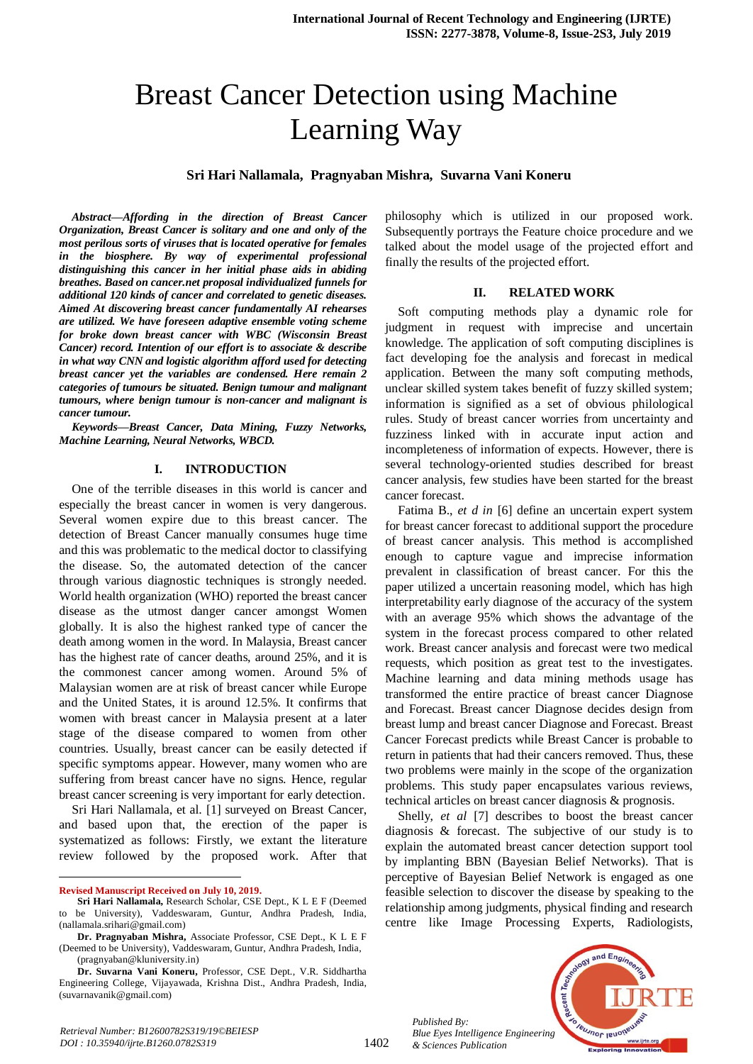# Breast Cancer Detection using Machine Learning Way

### **Sri Hari Nallamala, Pragnyaban Mishra, Suvarna Vani Koneru**

*Abstract—Affording in the direction of Breast Cancer Organization, Breast Cancer is solitary and one and only of the most perilous sorts of viruses that is located operative for females in the biosphere. By way of experimental professional distinguishing this cancer in her initial phase aids in abiding breathes. Based on cancer.net proposal individualized funnels for additional 120 kinds of cancer and correlated to genetic diseases. Aimed At discovering breast cancer fundamentally AI rehearses are utilized. We have foreseen adaptive ensemble voting scheme for broke down breast cancer with WBC (Wisconsin Breast Cancer) record. Intention of our effort is to associate & describe in what way CNN and logistic algorithm afford used for detecting breast cancer yet the variables are condensed. Here remain 2 categories of tumours be situated. Benign tumour and malignant tumours, where benign tumour is non-cancer and malignant is cancer tumour.*

*Keywords—Breast Cancer, Data Mining, Fuzzy Networks, Machine Learning, Neural Networks, WBCD.*

#### **I. INTRODUCTION**

One of the terrible diseases in this world is cancer and especially the breast cancer in women is very dangerous. Several women expire due to this breast cancer. The detection of Breast Cancer manually consumes huge time and this was problematic to the medical doctor to classifying the disease. So, the automated detection of the cancer through various diagnostic techniques is strongly needed. World health organization (WHO) reported the breast cancer disease as the utmost danger cancer amongst Women globally. It is also the highest ranked type of cancer the death among women in the word. In Malaysia, Breast cancer has the highest rate of cancer deaths, around 25%, and it is the commonest cancer among women. Around 5% of Malaysian women are at risk of breast cancer while Europe and the United States, it is around 12.5%. It confirms that women with breast cancer in Malaysia present at a later stage of the disease compared to women from other countries. Usually, breast cancer can be easily detected if specific symptoms appear. However, many women who are suffering from breast cancer have no signs. Hence, regular breast cancer screening is very important for early detection.

Sri Hari Nallamala, et al. [1] surveyed on Breast Cancer, and based upon that, the erection of the paper is systematized as follows: Firstly, we extant the literature review followed by the proposed work. After that

**Revised Manuscript Received on July 10, 2019.**

 $\ddot{\phantom{a}}$ 

philosophy which is utilized in our proposed work. Subsequently portrays the Feature choice procedure and we talked about the model usage of the projected effort and finally the results of the projected effort.

#### **II. RELATED WORK**

Soft computing methods play a dynamic role for judgment in request with imprecise and uncertain knowledge. The application of soft computing disciplines is fact developing foe the analysis and forecast in medical application. Between the many soft computing methods, unclear skilled system takes benefit of fuzzy skilled system; information is signified as a set of obvious philological rules. Study of breast cancer worries from uncertainty and fuzziness linked with in accurate input action and incompleteness of information of expects. However, there is several technology-oriented studies described for breast cancer analysis, few studies have been started for the breast cancer forecast.

Fatima B., *et d in* [6] define an uncertain expert system for breast cancer forecast to additional support the procedure of breast cancer analysis. This method is accomplished enough to capture vague and imprecise information prevalent in classification of breast cancer. For this the paper utilized a uncertain reasoning model, which has high interpretability early diagnose of the accuracy of the system with an average 95% which shows the advantage of the system in the forecast process compared to other related work. Breast cancer analysis and forecast were two medical requests, which position as great test to the investigates. Machine learning and data mining methods usage has transformed the entire practice of breast cancer Diagnose and Forecast. Breast cancer Diagnose decides design from breast lump and breast cancer Diagnose and Forecast. Breast Cancer Forecast predicts while Breast Cancer is probable to return in patients that had their cancers removed. Thus, these two problems were mainly in the scope of the organization problems. This study paper encapsulates various reviews, technical articles on breast cancer diagnosis & prognosis.

Shelly, *et al* [7] describes to boost the breast cancer diagnosis & forecast. The subjective of our study is to explain the automated breast cancer detection support tool by implanting BBN (Bayesian Belief Networks). That is perceptive of Bayesian Belief Network is engaged as one feasible selection to discover the disease by speaking to the relationship among judgments, physical finding and research centre like Image Processing Experts, Radiologists,

*Published By: Blue Eyes Intelligence Engineering & Sciences Publication* 

1402



**Sri Hari Nallamala,** Research Scholar, CSE Dept., K L E F (Deemed be University), Vaddeswaram, Guntur, Andhra Pradesh, India, (nallamala.srihari@gmail.com)

**Dr. Pragnyaban Mishra,** Associate Professor, CSE Dept., K L E F (Deemed to be University), Vaddeswaram, Guntur, Andhra Pradesh, India, (pragnyaban@kluniversity.in)

**Dr. Suvarna Vani Koneru,** Professor, CSE Dept., V.R. Siddhartha Engineering College, Vijayawada, Krishna Dist., Andhra Pradesh, India, (suvarnavanik@gmail.com)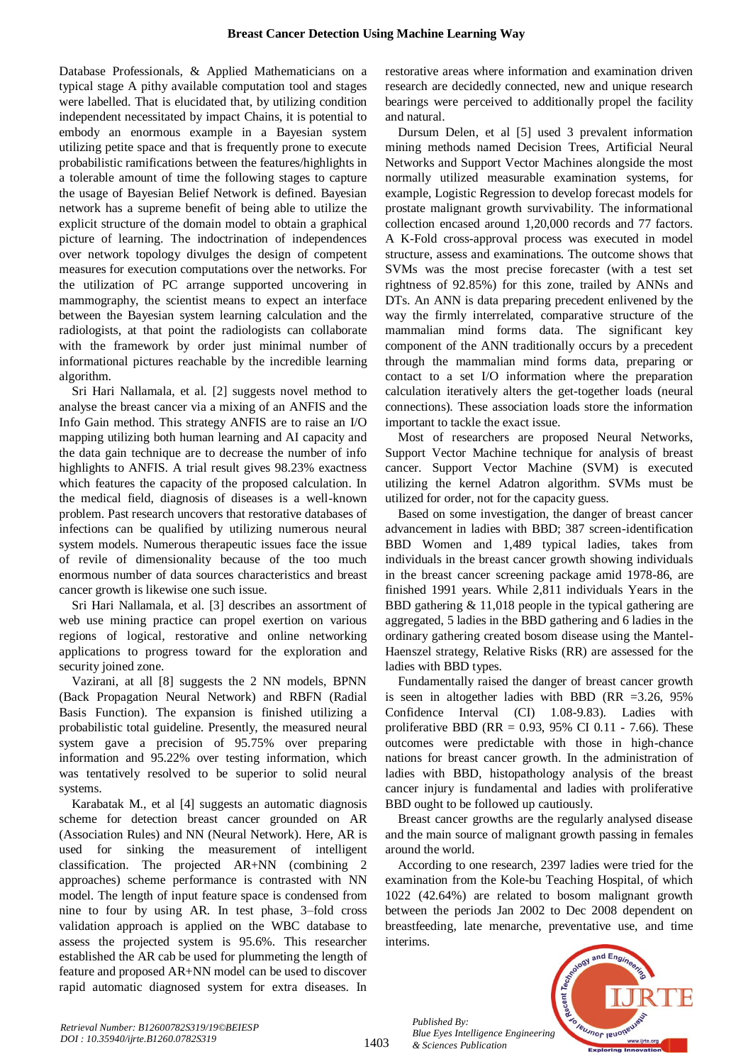Database Professionals, & Applied Mathematicians on a typical stage A pithy available computation tool and stages were labelled. That is elucidated that, by utilizing condition independent necessitated by impact Chains, it is potential to embody an enormous example in a Bayesian system utilizing petite space and that is frequently prone to execute probabilistic ramifications between the features/highlights in a tolerable amount of time the following stages to capture the usage of Bayesian Belief Network is defined. Bayesian network has a supreme benefit of being able to utilize the explicit structure of the domain model to obtain a graphical picture of learning. The indoctrination of independences over network topology divulges the design of competent measures for execution computations over the networks. For the utilization of PC arrange supported uncovering in mammography, the scientist means to expect an interface between the Bayesian system learning calculation and the radiologists, at that point the radiologists can collaborate with the framework by order just minimal number of informational pictures reachable by the incredible learning algorithm.

Sri Hari Nallamala, et al. [2] suggests novel method to analyse the breast cancer via a mixing of an ANFIS and the Info Gain method. This strategy ANFIS are to raise an I/O mapping utilizing both human learning and AI capacity and the data gain technique are to decrease the number of info highlights to ANFIS. A trial result gives 98.23% exactness which features the capacity of the proposed calculation. In the medical field, diagnosis of diseases is a well-known problem. Past research uncovers that restorative databases of infections can be qualified by utilizing numerous neural system models. Numerous therapeutic issues face the issue of revile of dimensionality because of the too much enormous number of data sources characteristics and breast cancer growth is likewise one such issue.

Sri Hari Nallamala, et al. [3] describes an assortment of web use mining practice can propel exertion on various regions of logical, restorative and online networking applications to progress toward for the exploration and security joined zone.

Vazirani, at all [8] suggests the 2 NN models, BPNN (Back Propagation Neural Network) and RBFN (Radial Basis Function). The expansion is finished utilizing a probabilistic total guideline. Presently, the measured neural system gave a precision of 95.75% over preparing information and 95.22% over testing information, which was tentatively resolved to be superior to solid neural systems.

Karabatak M., et al [4] suggests an automatic diagnosis scheme for detection breast cancer grounded on AR (Association Rules) and NN (Neural Network). Here, AR is used for sinking the measurement of intelligent classification. The projected AR+NN (combining 2 approaches) scheme performance is contrasted with NN model. The length of input feature space is condensed from nine to four by using AR. In test phase, 3–fold cross validation approach is applied on the WBC database to assess the projected system is 95.6%. This researcher established the AR cab be used for plummeting the length of feature and proposed AR+NN model can be used to discover rapid automatic diagnosed system for extra diseases. In

restorative areas where information and examination driven research are decidedly connected, new and unique research bearings were perceived to additionally propel the facility and natural.

Dursum Delen, et al [5] used 3 prevalent information mining methods named Decision Trees, Artificial Neural Networks and Support Vector Machines alongside the most normally utilized measurable examination systems, for example, Logistic Regression to develop forecast models for prostate malignant growth survivability. The informational collection encased around 1,20,000 records and 77 factors. A K-Fold cross-approval process was executed in model structure, assess and examinations. The outcome shows that SVMs was the most precise forecaster (with a test set rightness of 92.85%) for this zone, trailed by ANNs and DTs. An ANN is data preparing precedent enlivened by the way the firmly interrelated, comparative structure of the mammalian mind forms data. The significant key component of the ANN traditionally occurs by a precedent through the mammalian mind forms data, preparing or contact to a set I/O information where the preparation calculation iteratively alters the get-together loads (neural connections). These association loads store the information important to tackle the exact issue.

Most of researchers are proposed Neural Networks, Support Vector Machine technique for analysis of breast cancer. Support Vector Machine (SVM) is executed utilizing the kernel Adatron algorithm. SVMs must be utilized for order, not for the capacity guess.

Based on some investigation, the danger of breast cancer advancement in ladies with BBD; 387 screen-identification BBD Women and 1,489 typical ladies, takes from individuals in the breast cancer growth showing individuals in the breast cancer screening package amid 1978-86, are finished 1991 years. While 2,811 individuals Years in the BBD gathering & 11,018 people in the typical gathering are aggregated, 5 ladies in the BBD gathering and 6 ladies in the ordinary gathering created bosom disease using the Mantel-Haenszel strategy, Relative Risks (RR) are assessed for the ladies with BBD types.

Fundamentally raised the danger of breast cancer growth is seen in altogether ladies with BBD (RR =3.26, 95% Confidence Interval (CI) 1.08-9.83). Ladies with proliferative BBD (RR =  $0.93$ , 95% CI 0.11 - 7.66). These outcomes were predictable with those in high-chance nations for breast cancer growth. In the administration of ladies with BBD, histopathology analysis of the breast cancer injury is fundamental and ladies with proliferative BBD ought to be followed up cautiously.

Breast cancer growths are the regularly analysed disease and the main source of malignant growth passing in females around the world.

According to one research, 2397 ladies were tried for the examination from the Kole-bu Teaching Hospital, of which 1022 (42.64%) are related to bosom malignant growth between the periods Jan 2002 to Dec 2008 dependent on breastfeeding, late menarche, preventative use, and time interims.

*Published By: Blue Eyes Intelligence Engineering & Sciences Publication* 

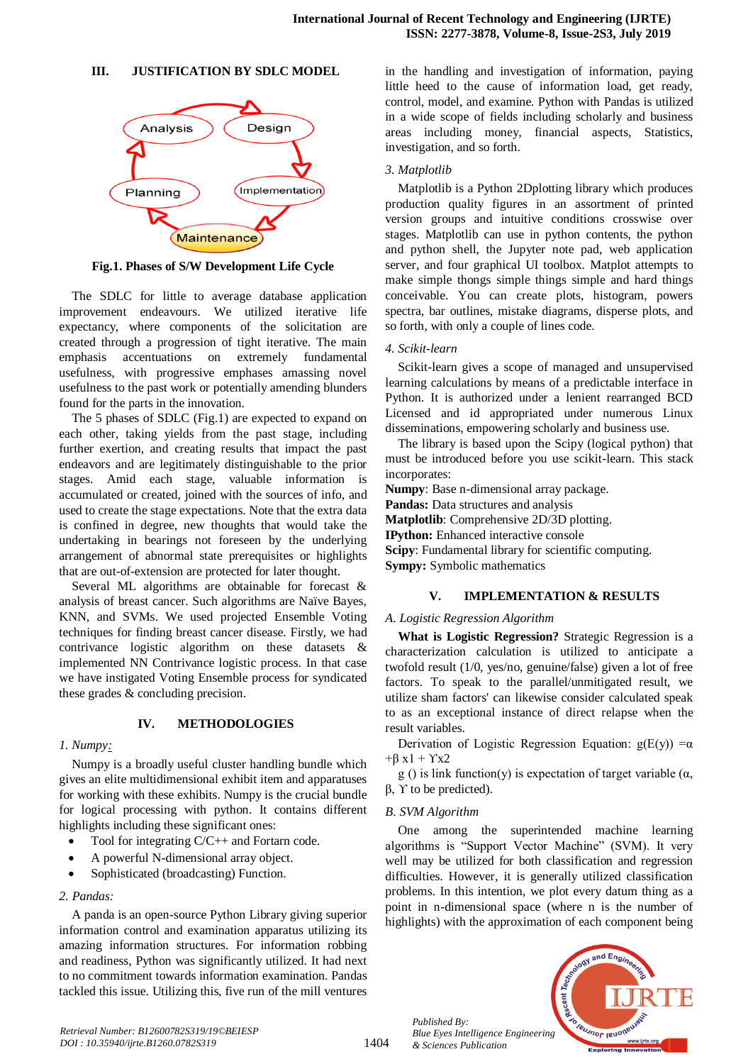#### **III. JUSTIFICATION BY SDLC MODEL**



**Fig.1. Phases of S/W Development Life Cycle**

The SDLC for little to average database application improvement endeavours. We utilized iterative life expectancy, where components of the solicitation are created through a progression of tight iterative. The main emphasis accentuations on extremely fundamental usefulness, with progressive emphases amassing novel usefulness to the past work or potentially amending blunders found for the parts in the innovation.

The 5 phases of SDLC (Fig.1) are expected to expand on each other, taking yields from the past stage, including further exertion, and creating results that impact the past endeavors and are legitimately distinguishable to the prior stages. Amid each stage, valuable information is accumulated or created, joined with the sources of info, and used to create the stage expectations. Note that the extra data is confined in degree, new thoughts that would take the undertaking in bearings not foreseen by the underlying arrangement of abnormal state prerequisites or highlights that are out-of-extension are protected for later thought.

Several ML algorithms are obtainable for forecast & analysis of breast cancer. Such algorithms are Naïve Bayes, KNN, and SVMs. We used projected Ensemble Voting techniques for finding breast cancer disease. Firstly, we had contrivance logistic algorithm on these datasets & implemented NN Contrivance logistic process. In that case we have instigated Voting Ensemble process for syndicated these grades & concluding precision.

# **IV. METHODOLOGIES**

### *1. Numpy:*

Numpy is a broadly useful cluster handling bundle which gives an elite multidimensional exhibit item and apparatuses for working with these exhibits. Numpy is the crucial bundle for logical processing with python. It contains different highlights including these significant ones:

- Tool for integrating C/C++ and Fortarn code.
- A powerful N-dimensional array object.
- Sophisticated (broadcasting) Function.

### *2. Pandas:*

A panda is an open-source Python Library giving superior information control and examination apparatus utilizing its amazing information structures. For information robbing and readiness, Python was significantly utilized. It had next to no commitment towards information examination. Pandas tackled this issue. Utilizing this, five run of the mill ventures in the handling and investigation of information, paying little heed to the cause of information load, get ready, control, model, and examine. Python with Pandas is utilized in a wide scope of fields including scholarly and business areas including money, financial aspects, Statistics, investigation, and so forth.

# *3. Matplotlib*

Matplotlib is a Python 2Dplotting library which produces production quality figures in an assortment of printed version groups and intuitive conditions crosswise over stages. Matplotlib can use in python contents, the python and python shell, the Jupyter note pad, web application server, and four graphical UI toolbox. Matplot attempts to make simple thongs simple things simple and hard things conceivable. You can create plots, histogram, powers spectra, bar outlines, mistake diagrams, disperse plots, and so forth, with only a couple of lines code.

### *4. Scikit-learn*

Scikit-learn gives a scope of managed and unsupervised learning calculations by means of a predictable interface in Python. It is authorized under a lenient rearranged BCD Licensed and id appropriated under numerous Linux disseminations, empowering scholarly and business use.

The library is based upon the Scipy (logical python) that must be introduced before you use scikit-learn. This stack incorporates:

**Numpy**: Base n-dimensional array package.

**Pandas:** Data structures and analysis

**Matplotlib**: Comprehensive 2D/3D plotting.

**IPython:** Enhanced interactive console

**Scipy**: Fundamental library for scientific computing.

**Sympy:** Symbolic mathematics

# **V. IMPLEMENTATION & RESULTS**

### *A. Logistic Regression Algorithm*

**What is Logistic Regression?** Strategic Regression is a characterization calculation is utilized to anticipate a twofold result (1/0, yes/no, genuine/false) given a lot of free factors. To speak to the parallel/unmitigated result, we utilize sham factors' can likewise consider calculated speak to as an exceptional instance of direct relapse when the result variables.

Derivation of Logistic Regression Equation:  $g(E(y)) = \alpha$  $+\beta x1 + \gamma x2$ 

g () is link function(y) is expectation of target variable  $(\alpha, \beta)$  $β$ ,  $Y$  to be predicted).

### *B. SVM Algorithm*

One among the superintended machine learning algorithms is "Support Vector Machine" (SVM). It very well may be utilized for both classification and regression difficulties. However, it is generally utilized classification problems. In this intention, we plot every datum thing as a point in n-dimensional space (where n is the number of highlights) with the approximation of each component being

*Published By: Blue Eyes Intelligence Engineering & Sciences Publication*